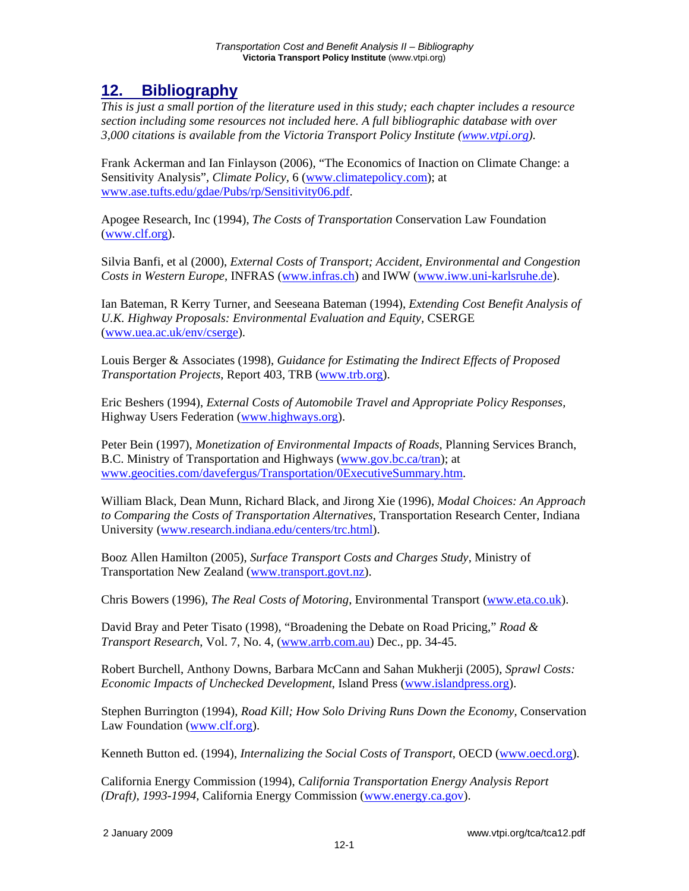## **12. Bibliography**

*This is just a small portion of the literature used in this study; each chapter includes a resource section including some resources not included here. A full bibliographic database with over 3,000 citations is available from the Victoria Transport Policy Institute (www.vtpi.org).* 

Frank Ackerman and Ian Finlayson (2006), "The Economics of Inaction on Climate Change: a Sensitivity Analysis"*, Climate Policy,* 6 (www.climatepolicy.com); at www.ase.tufts.edu/gdae/Pubs/rp/Sensitivity06.pdf.

Apogee Research, Inc (1994), *The Costs of Transportation* Conservation Law Foundation (www.clf.org).

Silvia Banfi, et al (2000), *External Costs of Transport; Accident, Environmental and Congestion Costs in Western Europe*, INFRAS (www.infras.ch) and IWW (www.iww.uni-karlsruhe.de).

Ian Bateman, R Kerry Turner, and Seeseana Bateman (1994), *Extending Cost Benefit Analysis of*  U.K. Highway Proposals: Environmental Evaluation and Equity, CSERGE (www.uea.ac.uk/env/cserge).

Louis Berger & Associates (1998), *Guidance for Estimating the Indirect Effects of Proposed Transportation Projects*, Report 403, TRB (www.trb.org).

Eric Beshers (1994), *External Costs of Automobile Travel and Appropriate Policy Responses,*  Highway Users Federation (www.highways.org).

Peter Bein (1997), *Monetization of Environmental Impacts of Roads*, Planning Services Branch, B.C. Ministry of Transportation and Highways (www.gov.bc.ca/tran); at www.geocities.com/davefergus/Transportation/0ExecutiveSummary.htm.

William Black, Dean Munn, Richard Black, and Jirong Xie (1996), *Modal Choices: An Approach to Comparing the Costs of Transportation Alternatives*, Transportation Research Center, Indiana University (www.research.indiana.edu/centers/trc.html).

Booz Allen Hamilton (2005), *Surface Transport Costs and Charges Study*, Ministry of Transportation New Zealand (www.transport.govt.nz).

Chris Bowers (1996), *The Real Costs of Motoring*, Environmental Transport (www.eta.co.uk).

David Bray and Peter Tisato (1998), "Broadening the Debate on Road Pricing," *Road & Transport Research*, Vol. 7, No. 4, (www.arrb.com.au) Dec., pp. 34-45.

Robert Burchell, Anthony Downs, Barbara McCann and Sahan Mukherji (2005), *Sprawl Costs: Economic Impacts of Unchecked Development*, Island Press (www.islandpress.org).

Stephen Burrington (1994), *Road Kill; How Solo Driving Runs Down the Economy,* Conservation Law Foundation (www.clf.org).

Kenneth Button ed. (1994), *Internalizing the Social Costs of Transport*, OECD (www.oecd.org).

California Energy Commission (1994), *California Transportation Energy Analysis Report (Draft), 1993-1994,* California Energy Commission (www.energy.ca.gov).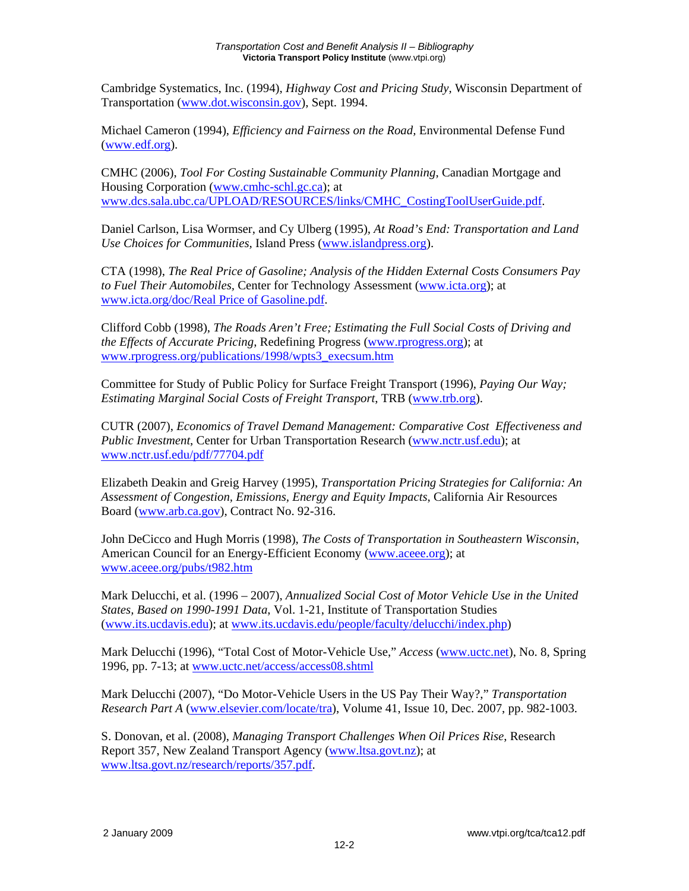Cambridge Systematics, Inc. (1994), *Highway Cost and Pricing Study,* Wisconsin Department of Transportation (www.dot.wisconsin.gov), Sept. 1994.

Michael Cameron (1994), *Efficiency and Fairness on the Road,* Environmental Defense Fund (www.edf.org).

CMHC (2006), *Tool For Costing Sustainable Community Planning*, Canadian Mortgage and Housing Corporation (www.cmhc-schl.gc.ca); at www.dcs.sala.ubc.ca/UPLOAD/RESOURCES/links/CMHC\_CostingToolUserGuide.pdf.

Daniel Carlson, Lisa Wormser, and Cy Ulberg (1995), *At Road's End: Transportation and Land Use Choices for Communities,* Island Press (www.islandpress.org).

CTA (1998), *The Real Price of Gasoline; Analysis of the Hidden External Costs Consumers Pay to Fuel Their Automobiles,* Center for Technology Assessment (www.icta.org); at www.icta.org/doc/Real Price of Gasoline.pdf.

Clifford Cobb (1998), *The Roads Aren't Free; Estimating the Full Social Costs of Driving and the Effects of Accurate Pricing*, Redefining Progress (www.rprogress.org); at www.rprogress.org/publications/1998/wpts3\_execsum.htm

Committee for Study of Public Policy for Surface Freight Transport (1996), *Paying Our Way; Estimating Marginal Social Costs of Freight Transport*, TRB (www.trb.org).

CUTR (2007), *Economics of Travel Demand Management: Comparative Cost Effectiveness and Public Investment*, Center for Urban Transportation Research (www.nctr.usf.edu); at www.nctr.usf.edu/pdf/77704.pdf

Elizabeth Deakin and Greig Harvey (1995), *Transportation Pricing Strategies for California: An Assessment of Congestion, Emissions, Energy and Equity Impacts*, California Air Resources Board (www.arb.ca.gov), Contract No. 92-316.

John DeCicco and Hugh Morris (1998), *The Costs of Transportation in Southeastern Wisconsin*, American Council for an Energy-Efficient Economy (www.aceee.org); at www.aceee.org/pubs/t982.htm

Mark Delucchi, et al. (1996 – 2007), *Annualized Social Cost of Motor Vehicle Use in the United States, Based on 1990-1991 Data*, Vol. 1-21, Institute of Transportation Studies (www.its.ucdavis.edu); at www.its.ucdavis.edu/people/faculty/delucchi/index.php)

Mark Delucchi (1996), "Total Cost of Motor-Vehicle Use," *Access* (www.uctc.net), No. 8, Spring 1996, pp. 7-13; at www.uctc.net/access/access08.shtml

Mark Delucchi (2007), "Do Motor-Vehicle Users in the US Pay Their Way?," *Transportation Research Part A* (www.elsevier.com/locate/tra), Volume 41, Issue 10, Dec. 2007, pp. 982-1003.

S. Donovan, et al. (2008), *Managing Transport Challenges When Oil Prices Rise*, Research Report 357, New Zealand Transport Agency (www.ltsa.govt.nz); at www.ltsa.govt.nz/research/reports/357.pdf.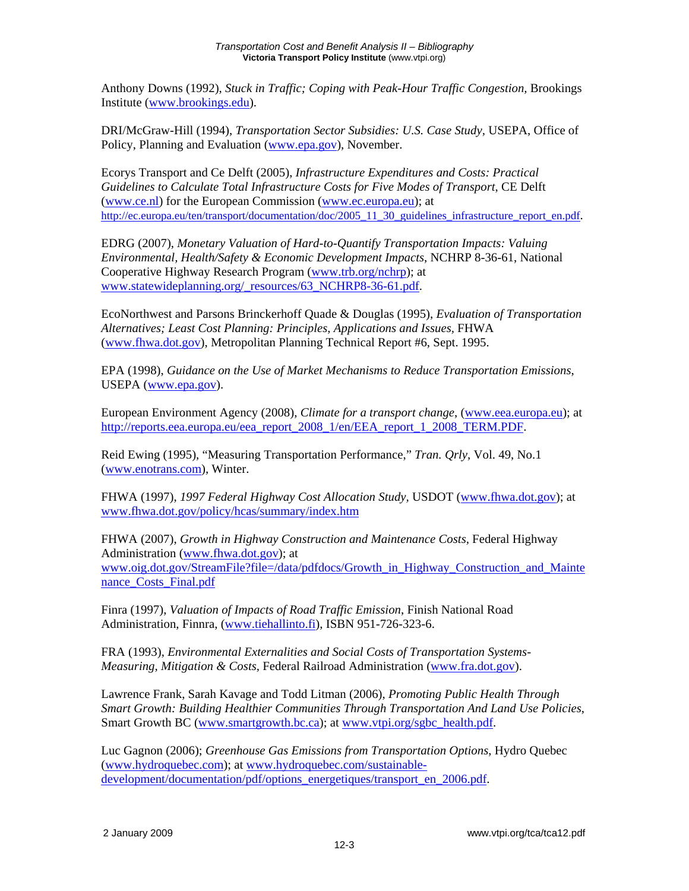Anthony Downs (1992), *Stuck in Traffic; Coping with Peak-Hour Traffic Congestion*, Brookings Institute (www.brookings.edu).

DRI/McGraw-Hill (1994), *Transportation Sector Subsidies: U.S. Case Study*, USEPA, Office of Policy, Planning and Evaluation (www.epa.gov), November.

Ecorys Transport and Ce Delft (2005), *Infrastructure Expenditures and Costs: Practical Guidelines to Calculate Total Infrastructure Costs for Five Modes of Transport*, CE Delft (www.ce.nl) for the European Commission (www.ec.europa.eu); at http://ec.europa.eu/ten/transport/documentation/doc/2005\_11\_30\_guidelines\_infrastructure\_report\_en.pdf.

EDRG (2007), *Monetary Valuation of Hard-to-Quantify Transportation Impacts: Valuing Environmental, Health/Safety & Economic Development Impacts*, NCHRP 8-36-61, National Cooperative Highway Research Program (www.trb.org/nchrp); at www.statewideplanning.org/\_resources/63\_NCHRP8-36-61.pdf.

EcoNorthwest and Parsons Brinckerhoff Quade & Douglas (1995), *Evaluation of Transportation Alternatives; Least Cost Planning: Principles, Applications and Issues,* FHWA (www.fhwa.dot.gov), Metropolitan Planning Technical Report #6, Sept. 1995.

EPA (1998), *Guidance on the Use of Market Mechanisms to Reduce Transportation Emissions*, USEPA (www.epa.gov).

European Environment Agency (2008), *Climate for a transport change*, (www.eea.europa.eu); at http://reports.eea.europa.eu/eea\_report\_2008\_1/en/EEA\_report\_1\_2008\_TERM.PDF.

Reid Ewing (1995), "Measuring Transportation Performance," *Tran. Qrly*, Vol. 49, No.1 (www.enotrans.com), Winter.

FHWA (1997), *1997 Federal Highway Cost Allocation Study,* USDOT (www.fhwa.dot.gov); at www.fhwa.dot.gov/policy/hcas/summary/index.htm

FHWA (2007), *Growth in Highway Construction and Maintenance Costs,* Federal Highway Administration (www.fhwa.dot.gov); at www.oig.dot.gov/StreamFile?file=/data/pdfdocs/Growth\_in\_Highway\_Construction\_and\_Mainte nance\_Costs\_Final.pdf

Finra (1997), *Valuation of Impacts of Road Traffic Emission*, Finish National Road Administration, Finnra, (www.tiehallinto.fi), ISBN 951-726-323-6.

FRA (1993), *Environmental Externalities and Social Costs of Transportation Systems-Measuring, Mitigation & Costs,* Federal Railroad Administration (www.fra.dot.gov).

Lawrence Frank, Sarah Kavage and Todd Litman (2006), *Promoting Public Health Through Smart Growth: Building Healthier Communities Through Transportation And Land Use Policies*, Smart Growth BC (www.smartgrowth.bc.ca); at www.vtpi.org/sgbc\_health.pdf.

Luc Gagnon (2006); *Greenhouse Gas Emissions from Transportation Options*, Hydro Quebec (www.hydroquebec.com); at www.hydroquebec.com/sustainabledevelopment/documentation/pdf/options\_energetiques/transport\_en\_2006.pdf.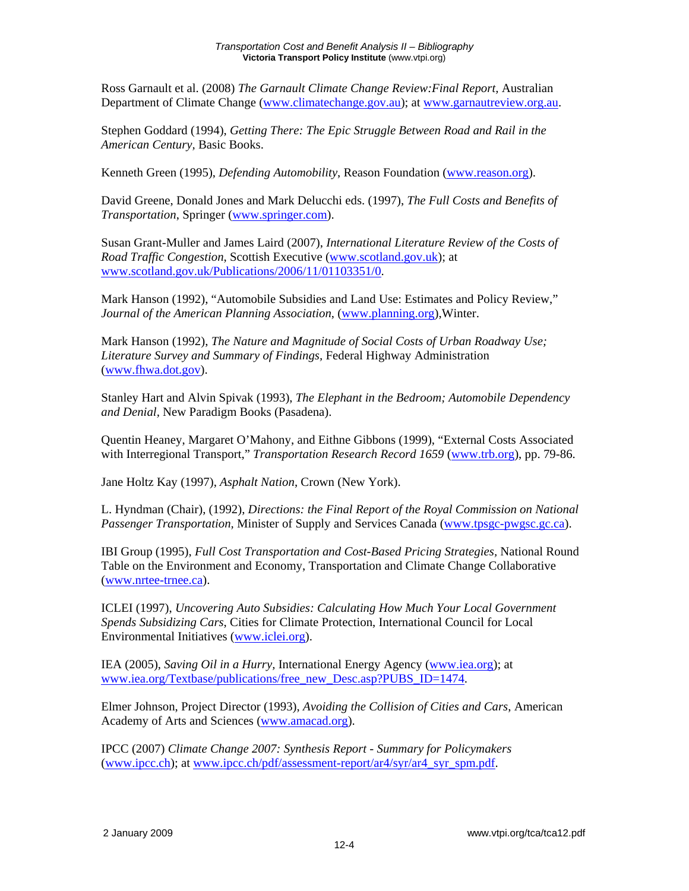Ross Garnault et al. (2008) *The Garnault Climate Change Review:Final Report,* Australian Department of Climate Change (www.climatechange.gov.au); at www.garnautreview.org.au.

Stephen Goddard (1994), *Getting There: The Epic Struggle Between Road and Rail in the American Century,* Basic Books.

Kenneth Green (1995), *Defending Automobility*, Reason Foundation (www.reason.org).

David Greene, Donald Jones and Mark Delucchi eds. (1997), *The Full Costs and Benefits of Transportation*, Springer (www.springer.com).

Susan Grant-Muller and James Laird (2007), *International Literature Review of the Costs of Road Traffic Congestion*, Scottish Executive (www.scotland.gov.uk); at www.scotland.gov.uk/Publications/2006/11/01103351/0.

Mark Hanson (1992), "Automobile Subsidies and Land Use: Estimates and Policy Review," *Journal of the American Planning Association*, (www.planning.org),Winter.

Mark Hanson (1992), *The Nature and Magnitude of Social Costs of Urban Roadway Use; Literature Survey and Summary of Findings,* Federal Highway Administration (www.fhwa.dot.gov).

Stanley Hart and Alvin Spivak (1993), *The Elephant in the Bedroom; Automobile Dependency and Denial,* New Paradigm Books (Pasadena).

Quentin Heaney, Margaret O'Mahony, and Eithne Gibbons (1999), "External Costs Associated with Interregional Transport," *Transportation Research Record 1659* (www.trb.org), pp. 79-86.

Jane Holtz Kay (1997), *Asphalt Nation*, Crown (New York).

L. Hyndman (Chair), (1992), *Directions: the Final Report of the Royal Commission on National Passenger Transportation,* Minister of Supply and Services Canada (www.tpsgc-pwgsc.gc.ca).

IBI Group (1995), *Full Cost Transportation and Cost-Based Pricing Strategies,* National Round Table on the Environment and Economy, Transportation and Climate Change Collaborative (www.nrtee-trnee.ca).

ICLEI (1997), *Uncovering Auto Subsidies: Calculating How Much Your Local Government Spends Subsidizing Cars*, Cities for Climate Protection, International Council for Local Environmental Initiatives (www.iclei.org).

IEA (2005), *Saving Oil in a Hurry,* International Energy Agency (www.iea.org); at www.iea.org/Textbase/publications/free\_new\_Desc.asp?PUBS\_ID=1474.

Elmer Johnson, Project Director (1993), *Avoiding the Collision of Cities and Cars*, American Academy of Arts and Sciences (www.amacad.org).

IPCC (2007) *Climate Change 2007: Synthesis Report - Summary for Policymakers* (www.ipcc.ch); at www.ipcc.ch/pdf/assessment-report/ar4/syr/ar4\_syr\_spm.pdf.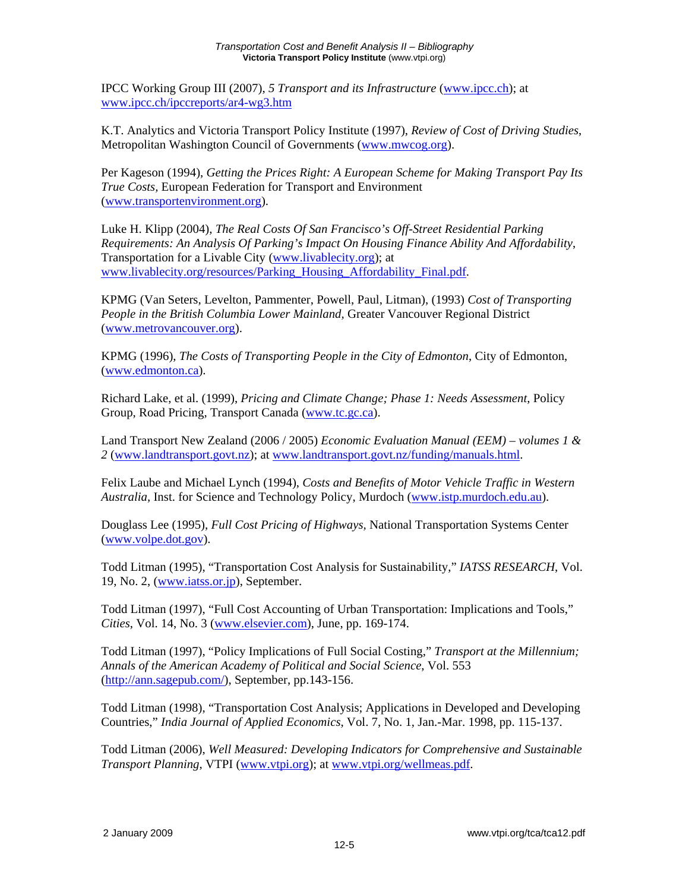IPCC Working Group III (2007), *5 Transport and its Infrastructure* (www.ipcc.ch); at www.ipcc.ch/ipccreports/ar4-wg3.htm

K.T. Analytics and Victoria Transport Policy Institute (1997), *Review of Cost of Driving Studies*, Metropolitan Washington Council of Governments (www.mwcog.org).

Per Kageson (1994), *Getting the Prices Right: A European Scheme for Making Transport Pay Its True Costs,* European Federation for Transport and Environment (www.transportenvironment.org).

Luke H. Klipp (2004), *The Real Costs Of San Francisco's Off-Street Residential Parking Requirements: An Analysis Of Parking's Impact On Housing Finance Ability And Affordability*, Transportation for a Livable City (www.livablecity.org); at www.livablecity.org/resources/Parking\_Housing\_Affordability\_Final.pdf.

KPMG (Van Seters, Levelton, Pammenter, Powell, Paul, Litman), (1993) *Cost of Transporting People in the British Columbia Lower Mainland,* Greater Vancouver Regional District (www.metrovancouver.org).

KPMG (1996), *The Costs of Transporting People in the City of Edmonton*, City of Edmonton, (www.edmonton.ca).

Richard Lake, et al. (1999), *Pricing and Climate Change; Phase 1: Needs Assessment*, Policy Group, Road Pricing, Transport Canada (www.tc.gc.ca).

Land Transport New Zealand (2006 / 2005) *Economic Evaluation Manual (EEM) – volumes 1 & 2* (www.landtransport.govt.nz); at www.landtransport.govt.nz/funding/manuals.html.

Felix Laube and Michael Lynch (1994), *Costs and Benefits of Motor Vehicle Traffic in Western Australia,* Inst. for Science and Technology Policy, Murdoch (www.istp.murdoch.edu.au).

Douglass Lee (1995), *Full Cost Pricing of Highways,* National Transportation Systems Center (www.volpe.dot.gov).

Todd Litman (1995), "Transportation Cost Analysis for Sustainability," *IATSS RESEARCH*, Vol. 19, No. 2, (www.iatss.or.jp), September.

Todd Litman (1997), "Full Cost Accounting of Urban Transportation: Implications and Tools," *Cities*, Vol. 14, No. 3 (www.elsevier.com), June, pp. 169-174.

Todd Litman (1997), "Policy Implications of Full Social Costing," *Transport at the Millennium; Annals of the American Academy of Political and Social Science*, Vol. 553 (http://ann.sagepub.com/), September, pp.143-156.

Todd Litman (1998), "Transportation Cost Analysis; Applications in Developed and Developing Countries," *India Journal of Applied Economics*, Vol. 7, No. 1, Jan.-Mar. 1998, pp. 115-137.

Todd Litman (2006), *Well Measured: Developing Indicators for Comprehensive and Sustainable Transport Planning*, VTPI (www.vtpi.org); at www.vtpi.org/wellmeas.pdf.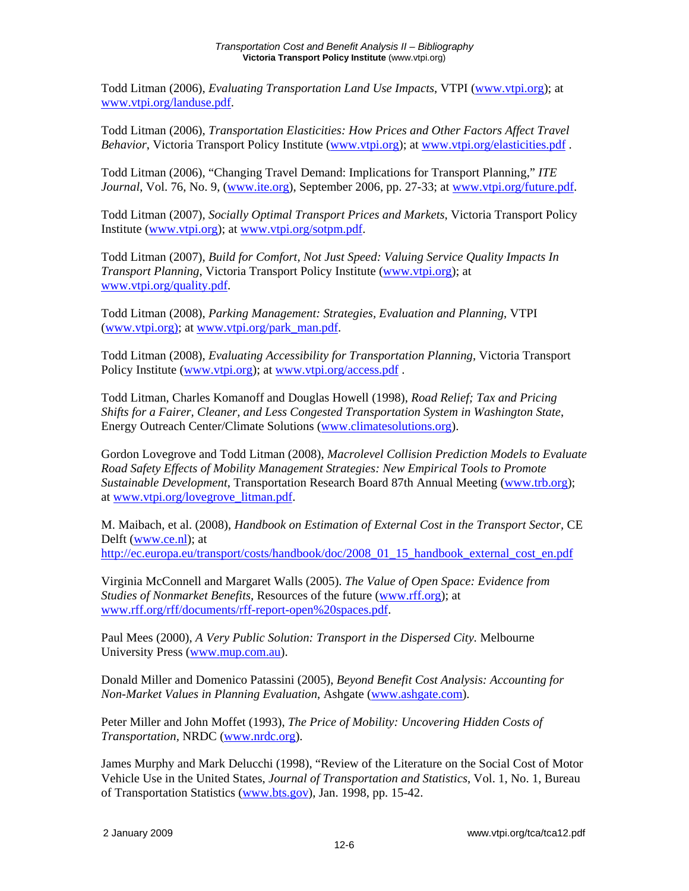Todd Litman (2006), *Evaluating Transportation Land Use Impacts*, VTPI (www.vtpi.org); at www.vtpi.org/landuse.pdf.

Todd Litman (2006), *Transportation Elasticities: How Prices and Other Factors Affect Travel Behavior*, Victoria Transport Policy Institute (www.vtpi.org); at www.vtpi.org/elasticities.pdf .

Todd Litman (2006), "Changing Travel Demand: Implications for Transport Planning," *ITE Journal*, Vol. 76, No. 9, (www.ite.org), September 2006, pp. 27-33; at www.vtpi.org/future.pdf.

Todd Litman (2007), *Socially Optimal Transport Prices and Markets*, Victoria Transport Policy Institute (www.vtpi.org); at www.vtpi.org/sotpm.pdf.

Todd Litman (2007), *Build for Comfort, Not Just Speed: Valuing Service Quality Impacts In Transport Planning*, Victoria Transport Policy Institute (www.vtpi.org); at www.vtpi.org/quality.pdf.

Todd Litman (2008), *Parking Management: Strategies, Evaluation and Planning*, VTPI (www.vtpi.org); at www.vtpi.org/park\_man.pdf.

Todd Litman (2008), *Evaluating Accessibility for Transportation Planning*, Victoria Transport Policy Institute (www.vtpi.org); at www.vtpi.org/access.pdf.

Todd Litman, Charles Komanoff and Douglas Howell (1998), *Road Relief; Tax and Pricing Shifts for a Fairer, Cleaner, and Less Congested Transportation System in Washington State*, Energy Outreach Center/Climate Solutions (www.climatesolutions.org).

Gordon Lovegrove and Todd Litman (2008), *Macrolevel Collision Prediction Models to Evaluate Road Safety Effects of Mobility Management Strategies: New Empirical Tools to Promote Sustainable Development*, Transportation Research Board 87th Annual Meeting (www.trb.org); at www.vtpi.org/lovegrove\_litman.pdf.

M. Maibach, et al. (2008), *Handbook on Estimation of External Cost in the Transport Sector,* CE Delft (www.ce.nl); at http://ec.europa.eu/transport/costs/handbook/doc/2008\_01\_15\_handbook\_external\_cost\_en.pdf

Virginia McConnell and Margaret Walls (2005). *The Value of Open Space: Evidence from Studies of Nonmarket Benefits,* Resources of the future (www.rff.org); at www.rff.org/rff/documents/rff-report-open%20spaces.pdf.

Paul Mees (2000), *A Very Public Solution: Transport in the Dispersed City.* Melbourne University Press (www.mup.com.au).

Donald Miller and Domenico Patassini (2005), *Beyond Benefit Cost Analysis: Accounting for Non-Market Values in Planning Evaluation*, Ashgate (www.ashgate.com).

Peter Miller and John Moffet (1993), *The Price of Mobility: Uncovering Hidden Costs of Transportation,* NRDC (www.nrdc.org).

James Murphy and Mark Delucchi (1998), "Review of the Literature on the Social Cost of Motor Vehicle Use in the United States, *Journal of Transportation and Statistics*, Vol. 1, No. 1, Bureau of Transportation Statistics (www.bts.gov), Jan. 1998, pp. 15-42.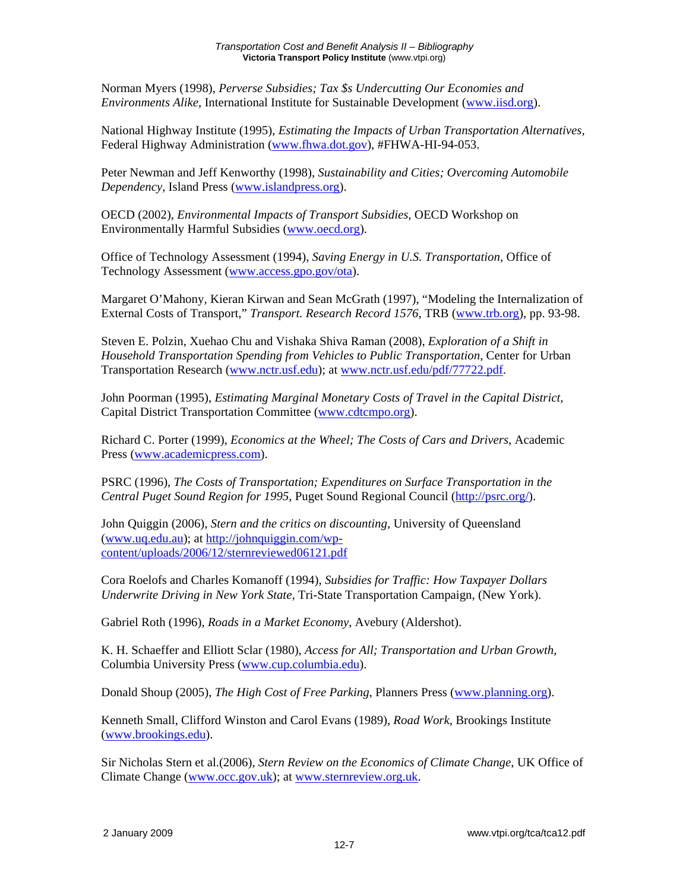Norman Myers (1998), *Perverse Subsidies; Tax \$s Undercutting Our Economies and Environments Alike*, International Institute for Sustainable Development (www.iisd.org).

National Highway Institute (1995), *Estimating the Impacts of Urban Transportation Alternatives,*  Federal Highway Administration (www.fhwa.dot.gov), #FHWA-HI-94-053.

Peter Newman and Jeff Kenworthy (1998), *Sustainability and Cities; Overcoming Automobile Dependency*, Island Press (www.islandpress.org).

OECD (2002), *Environmental Impacts of Transport Subsidies*, OECD Workshop on Environmentally Harmful Subsidies (www.oecd.org).

Office of Technology Assessment (1994), *Saving Energy in U.S. Transportation,* Office of Technology Assessment (www.access.gpo.gov/ota).

Margaret O'Mahony, Kieran Kirwan and Sean McGrath (1997), "Modeling the Internalization of External Costs of Transport," *Transport. Research Record 1576*, TRB (www.trb.org), pp. 93-98.

Steven E. Polzin, Xuehao Chu and Vishaka Shiva Raman (2008), *Exploration of a Shift in Household Transportation Spending from Vehicles to Public Transportation*, Center for Urban Transportation Research (www.nctr.usf.edu); at www.nctr.usf.edu/pdf/77722.pdf.

John Poorman (1995), *Estimating Marginal Monetary Costs of Travel in the Capital District,*  Capital District Transportation Committee (www.cdtcmpo.org).

Richard C. Porter (1999), *Economics at the Wheel; The Costs of Cars and Drivers*, Academic Press (www.academicpress.com).

PSRC (1996), *The Costs of Transportation; Expenditures on Surface Transportation in the Central Puget Sound Region for 1995*, Puget Sound Regional Council (http://psrc.org/).

John Quiggin (2006), *Stern and the critics on discounting,* University of Queensland (www.uq.edu.au); at http://johnquiggin.com/wpcontent/uploads/2006/12/sternreviewed06121.pdf

Cora Roelofs and Charles Komanoff (1994), *Subsidies for Traffic: How Taxpayer Dollars Underwrite Driving in New York State,* Tri-State Transportation Campaign, (New York).

Gabriel Roth (1996), *Roads in a Market Economy*, Avebury (Aldershot).

K. H. Schaeffer and Elliott Sclar (1980), *Access for All; Transportation and Urban Growth*, Columbia University Press (www.cup.columbia.edu).

Donald Shoup (2005), *The High Cost of Free Parking*, Planners Press (www.planning.org).

Kenneth Small, Clifford Winston and Carol Evans (1989), *Road Work,* Brookings Institute (www.brookings.edu).

Sir Nicholas Stern et al.(2006), *Stern Review on the Economics of Climate Change*, UK Office of Climate Change (www.occ.gov.uk); at www.sternreview.org.uk.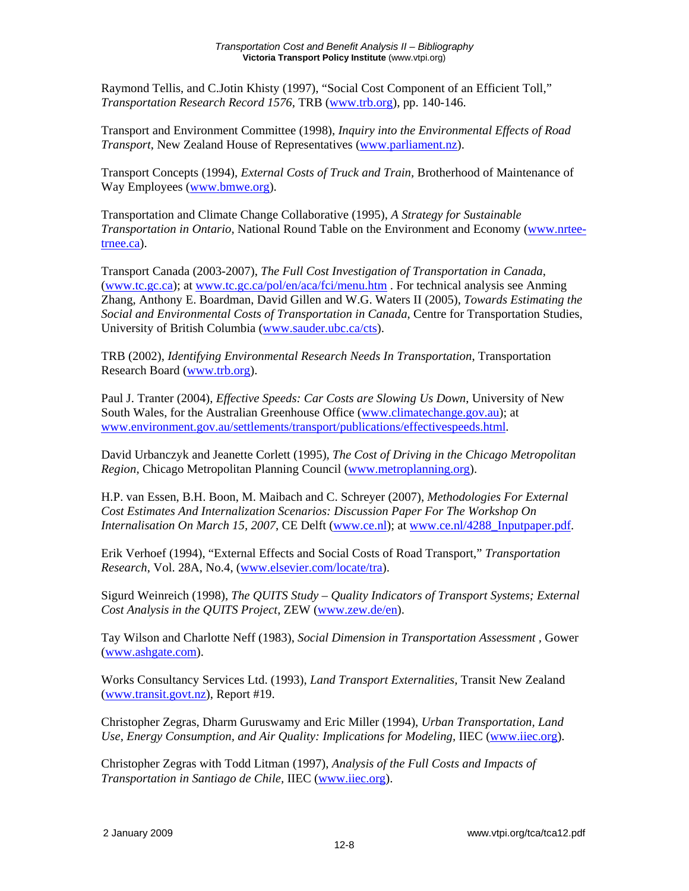Raymond Tellis, and C.Jotin Khisty (1997), "Social Cost Component of an Efficient Toll," *Transportation Research Record 1576*, TRB (www.trb.org), pp. 140-146.

Transport and Environment Committee (1998), *Inquiry into the Environmental Effects of Road Transport*, New Zealand House of Representatives (www.parliament.nz).

Transport Concepts (1994), *External Costs of Truck and Train,* Brotherhood of Maintenance of Way Employees (www.bmwe.org).

Transportation and Climate Change Collaborative (1995), *A Strategy for Sustainable Transportation in Ontario,* National Round Table on the Environment and Economy (www.nrteetrnee.ca).

Transport Canada (2003-2007), *The Full Cost Investigation of Transportation in Canada*, (www.tc.gc.ca); at www.tc.gc.ca/pol/en/aca/fci/menu.htm . For technical analysis see Anming Zhang, Anthony E. Boardman, David Gillen and W.G. Waters II (2005), *Towards Estimating the Social and Environmental Costs of Transportation in Canada*, Centre for Transportation Studies, University of British Columbia (www.sauder.ubc.ca/cts).

TRB (2002), *Identifying Environmental Research Needs In Transportation*, Transportation Research Board (www.trb.org).

Paul J. Tranter (2004), *Effective Speeds: Car Costs are Slowing Us Down*, University of New South Wales, for the Australian Greenhouse Office (www.climatechange.gov.au); at www.environment.gov.au/settlements/transport/publications/effectivespeeds.html.

David Urbanczyk and Jeanette Corlett (1995), *The Cost of Driving in the Chicago Metropolitan Region,* Chicago Metropolitan Planning Council (www.metroplanning.org).

H.P. van Essen, B.H. Boon, M. Maibach and C. Schreyer (2007), *Methodologies For External Cost Estimates And Internalization Scenarios: Discussion Paper For The Workshop On Internalisation On March 15, 2007*, CE Delft (www.ce.nl); at www.ce.nl/4288\_Inputpaper.pdf.

Erik Verhoef (1994), "External Effects and Social Costs of Road Transport," *Transportation Research*, Vol. 28A, No.4, (www.elsevier.com/locate/tra).

Sigurd Weinreich (1998), *The QUITS Study – Quality Indicators of Transport Systems; External Cost Analysis in the QUITS Project*, ZEW (www.zew.de/en).

Tay Wilson and Charlotte Neff (1983), *Social Dimension in Transportation Assessment ,* Gower (www.ashgate.com).

Works Consultancy Services Ltd. (1993), *Land Transport Externalities,* Transit New Zealand (www.transit.govt.nz), Report #19.

Christopher Zegras, Dharm Guruswamy and Eric Miller (1994), *Urban Transportation, Land Use, Energy Consumption, and Air Quality: Implications for Modeling,* IIEC (www.iiec.org).

Christopher Zegras with Todd Litman (1997), *Analysis of the Full Costs and Impacts of Transportation in Santiago de Chile,* IIEC (www.iiec.org).